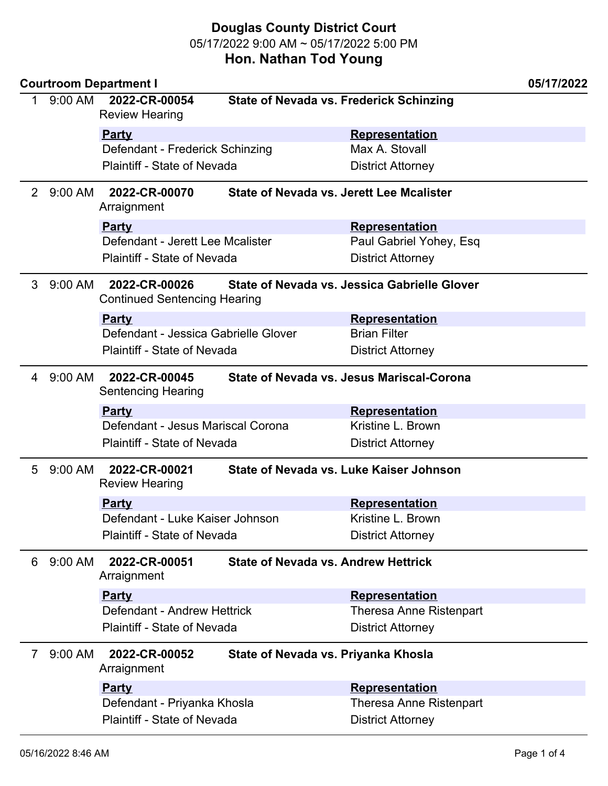|                       |           | <b>Courtroom Department I</b>                                       |                                                |                                                 | 05/17/2022 |
|-----------------------|-----------|---------------------------------------------------------------------|------------------------------------------------|-------------------------------------------------|------------|
| 1                     | 9:00 AM   | 2022-CR-00054<br><b>Review Hearing</b>                              | <b>State of Nevada vs. Frederick Schinzing</b> |                                                 |            |
|                       |           | <b>Party</b>                                                        |                                                | <b>Representation</b>                           |            |
|                       |           | Defendant - Frederick Schinzing                                     |                                                | Max A. Stovall                                  |            |
|                       |           | <b>Plaintiff - State of Nevada</b>                                  |                                                | <b>District Attorney</b>                        |            |
| $\mathbf{2}^{\prime}$ | 9:00 AM   | 2022-CR-00070<br>Arraignment                                        |                                                | <b>State of Nevada vs. Jerett Lee Mcalister</b> |            |
|                       |           | <b>Party</b>                                                        |                                                | <b>Representation</b>                           |            |
|                       |           | Defendant - Jerett Lee Mcalister                                    |                                                | Paul Gabriel Yohey, Esq                         |            |
|                       |           | <b>Plaintiff - State of Nevada</b>                                  |                                                | <b>District Attorney</b>                        |            |
| 3                     | $9:00$ AM | 2022-CR-00026<br><b>Continued Sentencing Hearing</b>                |                                                | State of Nevada vs. Jessica Gabrielle Glover    |            |
|                       |           | <b>Party</b>                                                        |                                                | <b>Representation</b>                           |            |
|                       |           | Defendant - Jessica Gabrielle Glover                                |                                                | <b>Brian Filter</b>                             |            |
|                       |           | <b>Plaintiff - State of Nevada</b>                                  |                                                | <b>District Attorney</b>                        |            |
| 4                     | 9:00 AM   | 2022-CR-00045<br><b>Sentencing Hearing</b>                          |                                                | State of Nevada vs. Jesus Mariscal-Corona       |            |
|                       |           | <b>Party</b>                                                        |                                                | <b>Representation</b>                           |            |
|                       |           | Defendant - Jesus Mariscal Corona                                   |                                                | Kristine L. Brown                               |            |
|                       |           | <b>Plaintiff - State of Nevada</b>                                  |                                                | <b>District Attorney</b>                        |            |
| 5                     | $9:00$ AM | 2022-CR-00021<br><b>Review Hearing</b>                              |                                                | State of Nevada vs. Luke Kaiser Johnson         |            |
|                       |           | <u>Party</u>                                                        |                                                | <b>Representation</b>                           |            |
|                       |           | Defendant - Luke Kaiser Johnson                                     |                                                | Kristine L. Brown                               |            |
|                       |           | Plaintiff - State of Nevada                                         |                                                | <b>District Attorney</b>                        |            |
| 6                     | 9:00 AM   | 2022-CR-00051<br>Arraignment                                        |                                                | <b>State of Nevada vs. Andrew Hettrick</b>      |            |
|                       |           | <b>Party</b>                                                        |                                                | Representation                                  |            |
|                       |           | Defendant - Andrew Hettrick                                         |                                                | <b>Theresa Anne Ristenpart</b>                  |            |
|                       |           | <b>Plaintiff - State of Nevada</b>                                  |                                                | <b>District Attorney</b>                        |            |
| 7                     | $9:00$ AM | 2022-CR-00052<br>State of Nevada vs. Priyanka Khosla<br>Arraignment |                                                |                                                 |            |
|                       |           | <b>Party</b>                                                        |                                                | <b>Representation</b>                           |            |
|                       |           | Defendant - Priyanka Khosla                                         |                                                | <b>Theresa Anne Ristenpart</b>                  |            |
|                       |           | Plaintiff - State of Nevada                                         |                                                | <b>District Attorney</b>                        |            |
|                       |           |                                                                     |                                                |                                                 |            |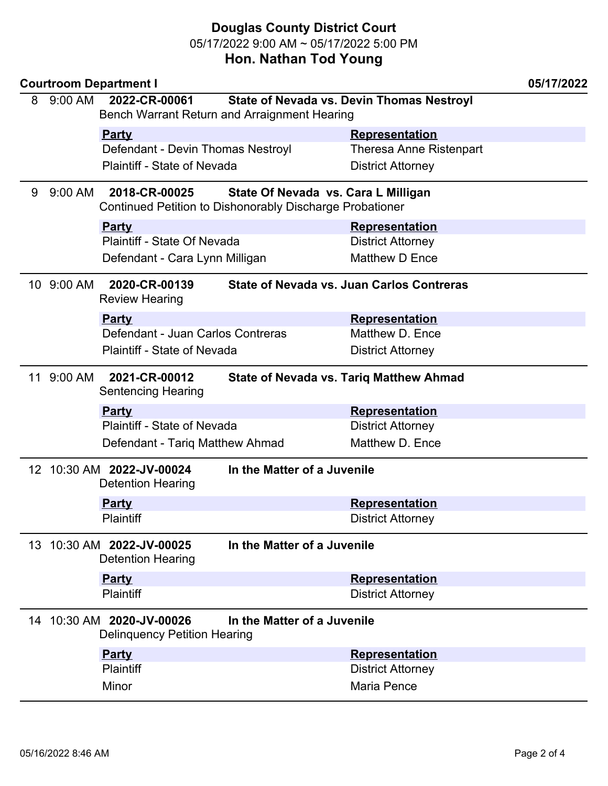|   |            | <b>Courtroom Department I</b>                                    |                             |                                                  | 05/17/2022 |  |
|---|------------|------------------------------------------------------------------|-----------------------------|--------------------------------------------------|------------|--|
| 8 | 9:00 AM    | 2022-CR-00061                                                    |                             | State of Nevada vs. Devin Thomas Nestroyl        |            |  |
|   |            | Bench Warrant Return and Arraignment Hearing                     |                             |                                                  |            |  |
|   |            | <b>Party</b>                                                     |                             | Representation                                   |            |  |
|   |            | Defendant - Devin Thomas Nestroyl                                |                             | <b>Theresa Anne Ristenpart</b>                   |            |  |
|   |            | Plaintiff - State of Nevada                                      |                             | <b>District Attorney</b>                         |            |  |
| 9 | 9:00 AM    | 2018-CR-00025<br>State Of Nevada vs. Cara L Milligan             |                             |                                                  |            |  |
|   |            | Continued Petition to Dishonorably Discharge Probationer         |                             |                                                  |            |  |
|   |            | <b>Party</b>                                                     |                             | <b>Representation</b>                            |            |  |
|   |            | Plaintiff - State Of Nevada                                      |                             | <b>District Attorney</b>                         |            |  |
|   |            | Defendant - Cara Lynn Milligan                                   |                             | Matthew D Ence                                   |            |  |
|   | 10 9:00 AM | 2020-CR-00139                                                    |                             | <b>State of Nevada vs. Juan Carlos Contreras</b> |            |  |
|   |            | <b>Review Hearing</b>                                            |                             |                                                  |            |  |
|   |            | <b>Party</b>                                                     |                             | <b>Representation</b>                            |            |  |
|   |            | Defendant - Juan Carlos Contreras                                |                             | Matthew D. Ence                                  |            |  |
|   |            | <b>Plaintiff - State of Nevada</b>                               |                             | <b>District Attorney</b>                         |            |  |
|   | 11 9:00 AM | 2021-CR-00012                                                    |                             | <b>State of Nevada vs. Tariq Matthew Ahmad</b>   |            |  |
|   |            | <b>Sentencing Hearing</b>                                        |                             |                                                  |            |  |
|   |            | <b>Party</b>                                                     |                             | <b>Representation</b>                            |            |  |
|   |            | Plaintiff - State of Nevada                                      |                             | <b>District Attorney</b>                         |            |  |
|   |            | Defendant - Tariq Matthew Ahmad                                  |                             | Matthew D. Ence                                  |            |  |
|   |            | 12 10:30 AM 2022-JV-00024<br><b>Detention Hearing</b>            | In the Matter of a Juvenile |                                                  |            |  |
|   |            | <b>Party</b>                                                     |                             | <b>Representation</b>                            |            |  |
|   |            | <b>Plaintiff</b>                                                 |                             | <b>District Attorney</b>                         |            |  |
|   |            |                                                                  |                             |                                                  |            |  |
|   |            | 13 10:30 AM 2022-JV-00025<br><b>Detention Hearing</b>            | In the Matter of a Juvenile |                                                  |            |  |
|   |            | <b>Party</b>                                                     |                             | <b>Representation</b>                            |            |  |
|   |            | <b>Plaintiff</b>                                                 |                             | <b>District Attorney</b>                         |            |  |
|   |            | 14 10:30 AM 2020-JV-00026<br><b>Delinquency Petition Hearing</b> | In the Matter of a Juvenile |                                                  |            |  |
|   |            | <b>Party</b>                                                     |                             | <b>Representation</b>                            |            |  |
|   |            | <b>Plaintiff</b>                                                 |                             | <b>District Attorney</b>                         |            |  |
|   |            | Minor                                                            |                             | Maria Pence                                      |            |  |
|   |            |                                                                  |                             |                                                  |            |  |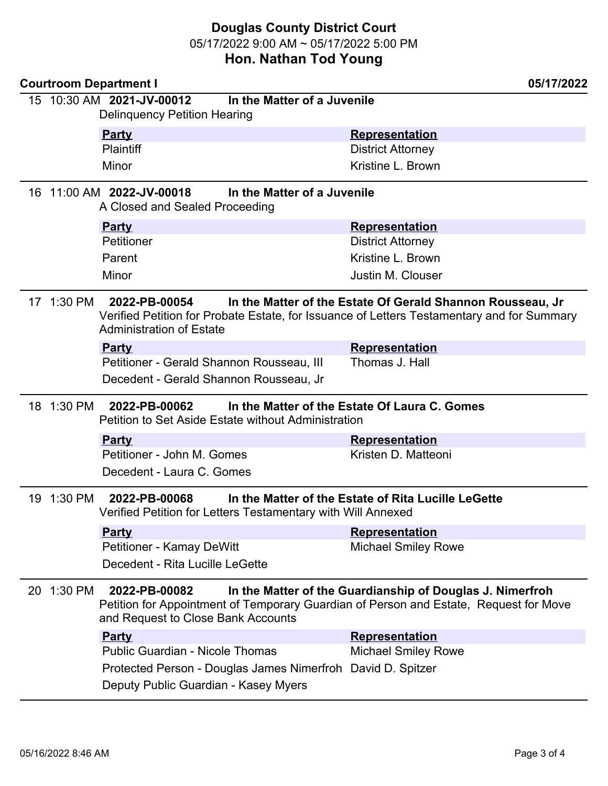|                                                                                            |                                                                                                                                                                                                                         | <b>Courtroom Department I</b>                                                                                                                                                                                | 05/17/2022                                          |  |
|--------------------------------------------------------------------------------------------|-------------------------------------------------------------------------------------------------------------------------------------------------------------------------------------------------------------------------|--------------------------------------------------------------------------------------------------------------------------------------------------------------------------------------------------------------|-----------------------------------------------------|--|
|                                                                                            |                                                                                                                                                                                                                         | 15 10:30 AM 2021-JV-00012<br><b>Delinquency Petition Hearing</b>                                                                                                                                             | In the Matter of a Juvenile                         |  |
|                                                                                            |                                                                                                                                                                                                                         | <b>Party</b>                                                                                                                                                                                                 | <b>Representation</b>                               |  |
|                                                                                            |                                                                                                                                                                                                                         | <b>Plaintiff</b>                                                                                                                                                                                             | <b>District Attorney</b>                            |  |
|                                                                                            |                                                                                                                                                                                                                         | Minor                                                                                                                                                                                                        | Kristine L. Brown                                   |  |
| 16 11:00 AM 2022-JV-00018<br>In the Matter of a Juvenile<br>A Closed and Sealed Proceeding |                                                                                                                                                                                                                         |                                                                                                                                                                                                              |                                                     |  |
|                                                                                            |                                                                                                                                                                                                                         | <b>Party</b>                                                                                                                                                                                                 | <b>Representation</b>                               |  |
|                                                                                            |                                                                                                                                                                                                                         | Petitioner                                                                                                                                                                                                   | <b>District Attorney</b>                            |  |
|                                                                                            |                                                                                                                                                                                                                         | Parent                                                                                                                                                                                                       | Kristine L. Brown                                   |  |
|                                                                                            |                                                                                                                                                                                                                         | Minor                                                                                                                                                                                                        | Justin M. Clouser                                   |  |
|                                                                                            | 17 1:30 PM                                                                                                                                                                                                              | 2022-PB-00054<br>In the Matter of the Estate Of Gerald Shannon Rousseau, Jr<br>Verified Petition for Probate Estate, for Issuance of Letters Testamentary and for Summary<br><b>Administration of Estate</b> |                                                     |  |
|                                                                                            |                                                                                                                                                                                                                         | <b>Party</b>                                                                                                                                                                                                 | <b>Representation</b>                               |  |
|                                                                                            |                                                                                                                                                                                                                         | Petitioner - Gerald Shannon Rousseau, III                                                                                                                                                                    | Thomas J. Hall                                      |  |
|                                                                                            |                                                                                                                                                                                                                         | Decedent - Gerald Shannon Rousseau, Jr                                                                                                                                                                       |                                                     |  |
|                                                                                            |                                                                                                                                                                                                                         | 18 1:30 PM 2022-PB-00062<br>In the Matter of the Estate Of Laura C. Gomes<br>Petition to Set Aside Estate without Administration                                                                             |                                                     |  |
|                                                                                            |                                                                                                                                                                                                                         | <b>Party</b>                                                                                                                                                                                                 | <b>Representation</b>                               |  |
|                                                                                            |                                                                                                                                                                                                                         | Petitioner - John M. Gomes                                                                                                                                                                                   | Kristen D. Matteoni                                 |  |
|                                                                                            |                                                                                                                                                                                                                         | Decedent - Laura C. Gomes                                                                                                                                                                                    |                                                     |  |
|                                                                                            | 19 1:30 PM                                                                                                                                                                                                              | 2022-PB-00068<br>Verified Petition for Letters Testamentary with Will Annexed                                                                                                                                | In the Matter of the Estate of Rita Lucille LeGette |  |
|                                                                                            |                                                                                                                                                                                                                         | <b>Party</b>                                                                                                                                                                                                 | <b>Representation</b>                               |  |
|                                                                                            |                                                                                                                                                                                                                         | <b>Petitioner - Kamay DeWitt</b>                                                                                                                                                                             | <b>Michael Smiley Rowe</b>                          |  |
|                                                                                            |                                                                                                                                                                                                                         | Decedent - Rita Lucille LeGette                                                                                                                                                                              |                                                     |  |
|                                                                                            | In the Matter of the Guardianship of Douglas J. Nimerfroh<br>20 1:30 PM<br>2022-PB-00082<br>Petition for Appointment of Temporary Guardian of Person and Estate, Request for Move<br>and Request to Close Bank Accounts |                                                                                                                                                                                                              |                                                     |  |
|                                                                                            |                                                                                                                                                                                                                         | <b>Party</b>                                                                                                                                                                                                 | <b>Representation</b>                               |  |
|                                                                                            |                                                                                                                                                                                                                         | <b>Public Guardian - Nicole Thomas</b>                                                                                                                                                                       | <b>Michael Smiley Rowe</b>                          |  |
|                                                                                            |                                                                                                                                                                                                                         | Protected Person - Douglas James Nimerfroh David D. Spitzer                                                                                                                                                  |                                                     |  |
|                                                                                            |                                                                                                                                                                                                                         | Deputy Public Guardian - Kasey Myers                                                                                                                                                                         |                                                     |  |
|                                                                                            |                                                                                                                                                                                                                         |                                                                                                                                                                                                              |                                                     |  |